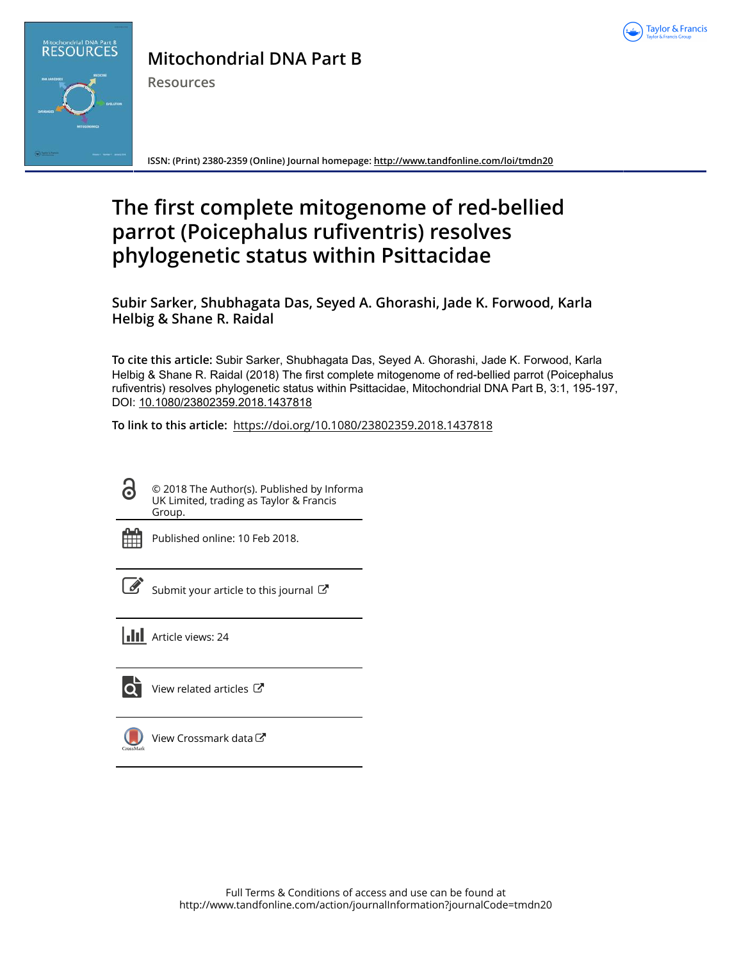



## **Mitochondrial DNA Part B**

**Resources**

**ISSN: (Print) 2380-2359 (Online) Journal homepage:<http://www.tandfonline.com/loi/tmdn20>**

# **The first complete mitogenome of red-bellied parrot (Poicephalus rufiventris) resolves phylogenetic status within Psittacidae**

**Subir Sarker, Shubhagata Das, Seyed A. Ghorashi, Jade K. Forwood, Karla Helbig & Shane R. Raidal**

**To cite this article:** Subir Sarker, Shubhagata Das, Seyed A. Ghorashi, Jade K. Forwood, Karla Helbig & Shane R. Raidal (2018) The first complete mitogenome of red-bellied parrot (Poicephalus rufiventris) resolves phylogenetic status within Psittacidae, Mitochondrial DNA Part B, 3:1, 195-197, DOI: [10.1080/23802359.2018.1437818](http://www.tandfonline.com/action/showCitFormats?doi=10.1080/23802359.2018.1437818)

**To link to this article:** <https://doi.org/10.1080/23802359.2018.1437818>

© 2018 The Author(s). Published by Informa UK Limited, trading as Taylor & Francis Group.



ര

Published online: 10 Feb 2018.

[Submit your article to this journal](http://www.tandfonline.com/action/authorSubmission?journalCode=tmdn20&show=instructions)  $\mathbb{Z}$ 

**Article views: 24** 

lo i [View related articles](http://www.tandfonline.com/doi/mlt/10.1080/23802359.2018.1437818) C



[View Crossmark data](http://crossmark.crossref.org/dialog/?doi=10.1080/23802359.2018.1437818&domain=pdf&date_stamp=2018-02-10)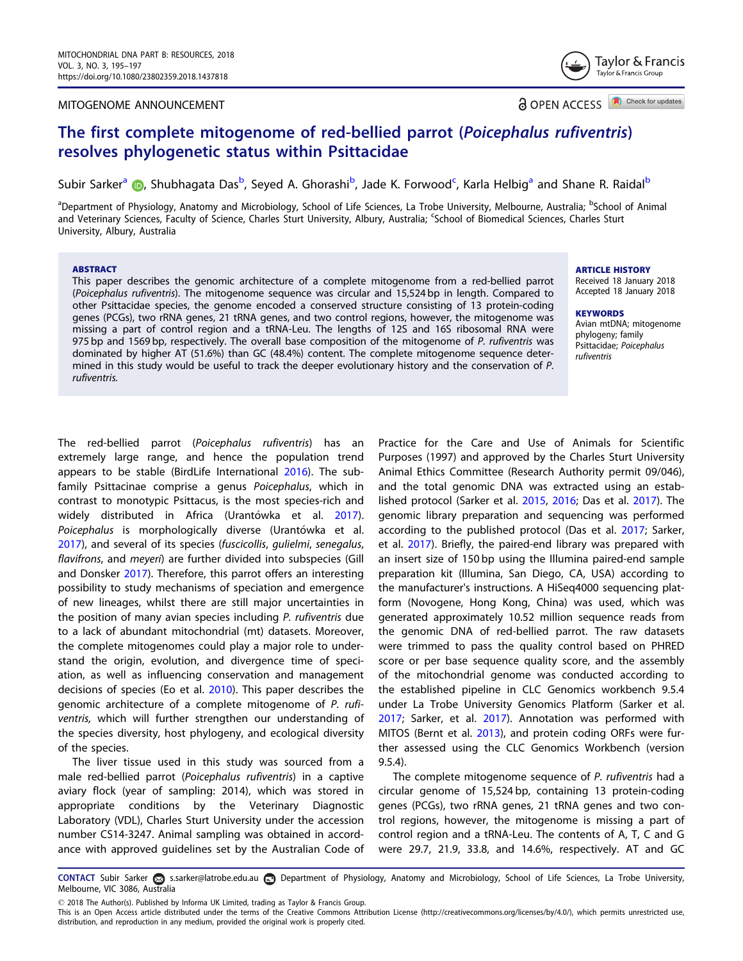#### <span id="page-1-0"></span>MITOGENOME ANNOUNCEMENT

**a** OPEN ACCESS **D** Check for updates

Taylor & Francis Taylor & Francis Group

### The first complete mitogenome of red-bellied parrot (Poicephalus rufiventris) resolves phylogenetic status within Psittacidae

Subir Sarker<sup>a</sup> (D[,](http://orcid.org/0000-0002-2685-8377) Shubhagata Das<sup>b</sup>, Seyed A. Ghorashi<sup>b</sup>, Jade K. Forwood<sup>c</sup>, Karla Helbig<sup>a</sup> and Shane R. Raidal<sup>b</sup>

<sup>a</sup>Department of Physiology, Anatomy and Microbiology, School of Life Sciences, La Trobe University, Melbourne, Australia; <sup>b</sup>School of Animal and Veterinary Sciences, Faculty of Science, Charles Sturt University, Albury, Australia; <sup>c</sup>School of Biomedical Sciences, Charles Sturt University, Albury, Australia

#### ABSTRACT

This paper describes the genomic architecture of a complete mitogenome from a red-bellied parrot (Poicephalus rufiventris). The mitogenome sequence was circular and 15,524 bp in length. Compared to other Psittacidae species, the genome encoded a conserved structure consisting of 13 protein-coding genes (PCGs), two rRNA genes, 21 tRNA genes, and two control regions, however, the mitogenome was missing a part of control region and a tRNA-Leu. The lengths of 12S and 16S ribosomal RNA were 975 bp and 1569 bp, respectively. The overall base composition of the mitogenome of P. rufiventris was dominated by higher AT (51.6%) than GC (48.4%) content. The complete mitogenome sequence determined in this study would be useful to track the deeper evolutionary history and the conservation of P. rufiventris.

ARTICLE HISTORY

Received 18 January 2018 Accepted 18 January 2018

#### **KEYWORDS**

Avian mtDNA; mitogenome phylogeny; family Psittacidae; Poicephalus rufiventris

The red-bellied parrot (Poicephalus rufiventris) has an extremely large range, and hence the population trend appears to be stable (BirdLife International [2016\)](#page-2-0). The subfamily Psittacinae comprise a genus Poicephalus, which in contrast to monotypic Psittacus, is the most species-rich and widely distributed in Africa (Urantówka et al. [2017](#page-3-0)). Poicephalus is morphologically diverse (Urantówka et al. [2017](#page-3-0)), and several of its species (fuscicollis, gulielmi, senegalus, flavifrons, and meyeri) are further divided into subspecies (Gill and Donsker [2017\)](#page-3-0). Therefore, this parrot offers an interesting possibility to study mechanisms of speciation and emergence of new lineages, whilst there are still major uncertainties in the position of many avian species including P. rufiventris due to a lack of abundant mitochondrial (mt) datasets. Moreover, the complete mitogenomes could play a major role to understand the origin, evolution, and divergence time of speciation, as well as influencing conservation and management decisions of species (Eo et al. [2010\)](#page-2-0). This paper describes the genomic architecture of a complete mitogenome of P. rufiventris, which will further strengthen our understanding of the species diversity, host phylogeny, and ecological diversity of the species.

The liver tissue used in this study was sourced from a male red-bellied parrot (Poicephalus rufiventris) in a captive aviary flock (year of sampling: 2014), which was stored in appropriate conditions by the Veterinary Diagnostic Laboratory (VDL), Charles Sturt University under the accession number CS14-3247. Animal sampling was obtained in accordance with approved guidelines set by the Australian Code of

Practice for the Care and Use of Animals for Scientific Purposes (1997) and approved by the Charles Sturt University Animal Ethics Committee (Research Authority permit 09/046), and the total genomic DNA was extracted using an established protocol (Sarker et al. [2015,](#page-3-0) [2016;](#page-3-0) Das et al. [2017](#page-2-0)). The genomic library preparation and sequencing was performed according to the published protocol (Das et al. [2017;](#page-2-0) Sarker, et al. [2017\)](#page-3-0). Briefly, the paired-end library was prepared with an insert size of 150 bp using the Illumina paired-end sample preparation kit (Illumina, San Diego, CA, USA) according to the manufacturer's instructions. A HiSeq4000 sequencing platform (Novogene, Hong Kong, China) was used, which was generated approximately 10.52 million sequence reads from the genomic DNA of red-bellied parrot. The raw datasets were trimmed to pass the quality control based on PHRED score or per base sequence quality score, and the assembly of the mitochondrial genome was conducted according to the established pipeline in CLC Genomics workbench 9.5.4 under La Trobe University Genomics Platform (Sarker et al. [2017](#page-3-0); Sarker, et al. [2017\)](#page-3-0). Annotation was performed with MITOS (Bernt et al. [2013](#page-2-0)), and protein coding ORFs were further assessed using the CLC Genomics Workbench (version 9.5.4).

The complete mitogenome sequence of P. rufiventris had a circular genome of 15,524 bp, containing 13 protein-coding genes (PCGs), two rRNA genes, 21 tRNA genes and two control regions, however, the mitogenome is missing a part of control region and a tRNA-Leu. The contents of A, T, C and G were 29.7, 21.9, 33.8, and 14.6%, respectively. AT and GC

CONTACT Subir Sarker as s.sarker@latrobe.edu.au **D** Department of Physiology, Anatomy and Microbiology, School of Life Sciences, La Trobe University, Melbourne, VIC 3086, Australia

2018 The Author(s). Published by Informa UK Limited, trading as Taylor & Francis Group.

This is an Open Access article distributed under the terms of the Creative Commons Attribution License (<http://creativecommons.org/licenses/by/4.0/>), which permits unrestricted use, distribution, and reproduction in any medium, provided the original work is properly cited.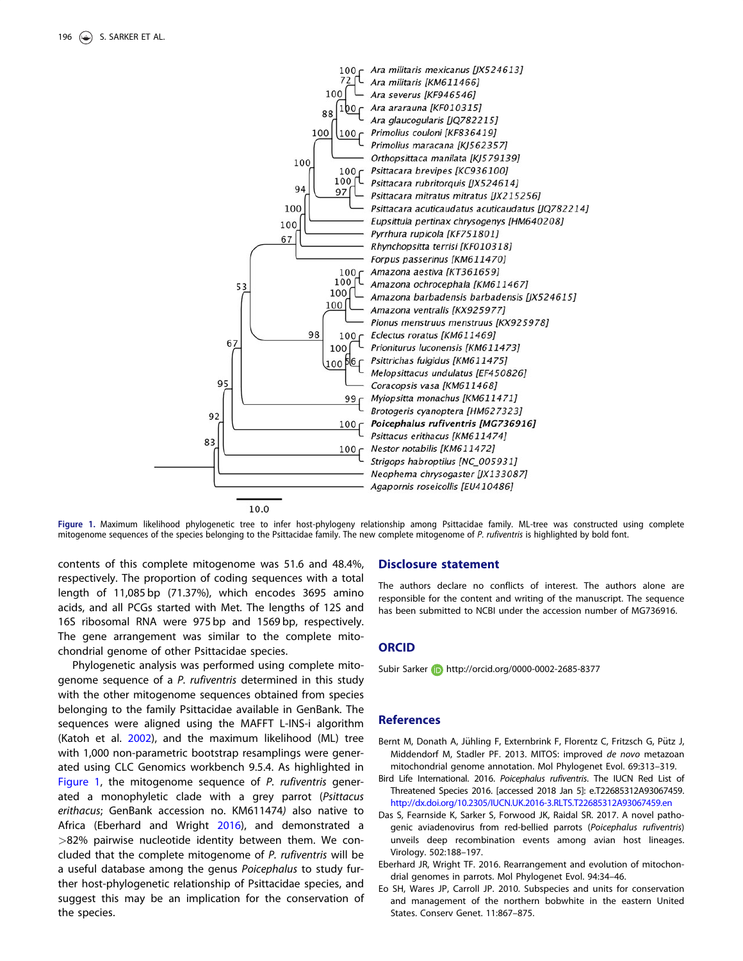<span id="page-2-0"></span>

Figure 1. Maximum likelihood phylogenetic tree to infer host-phylogeny relationship among Psittacidae family. ML-tree was constructed using complete mitogenome sequences of the species belonging to the Psittacidae family. The new complete mitogenome of P. rufiventris is highlighted by bold font.

contents of this complete mitogenome was 51.6 and 48.4%, respectively. The proportion of coding sequences with a total length of 11,085 bp (71.37%), which encodes 3695 amino acids, and all PCGs started with Met. The lengths of 12S and 16S ribosomal RNA were 975 bp and 1569 bp, respectively. The gene arrangement was similar to the complete mitochondrial genome of other Psittacidae species.

Phylogenetic analysis was performed using complete mitogenome sequence of a P. rufiventris determined in this study with the other mitogenome sequences obtained from species belonging to the family Psittacidae available in GenBank. The sequences were aligned using the MAFFT L-INS-i algorithm (Katoh et al. [2002\)](#page-3-0), and the maximum likelihood (ML) tree with 1,000 non-parametric bootstrap resamplings were generated using CLC Genomics workbench 9.5.4. As highlighted in Figure 1, the mitogenome sequence of P. rufiventris generated a monophyletic clade with a grey parrot (Psittacus erithacus; GenBank accession no. KM611474) also native to Africa (Eberhard and Wright 2016), and demonstrated a >82% pairwise nucleotide identity between them. We concluded that the complete mitogenome of P. rufiventris will be a useful database among the genus Poicephalus to study further host-phylogenetic relationship of Psittacidae species, and suggest this may be an implication for the conservation of the species.

#### Disclosure statement

The authors declare no conflicts of interest. The authors alone are responsible for the content and writing of the manuscript. The sequence has been submitted to NCBI under the accession number of MG736916.

#### **ORCID**

Subir Sarker **http://orcid.org/0000-0002-2685-8377** 

#### **References**

- Bernt M, Donath A, Jühling F, Externbrink F, Florentz C, Fritzsch G, Pütz J, Middendorf M, Stadler PF. [2013.](#page-1-0) MITOS: improved de novo metazoan mitochondrial genome annotation. Mol Phylogenet Evol. 69:313–319.
- Bird Life International. [2016.](#page-1-0) Poicephalus rufiventris. The IUCN Red List of Threatened Species 2016. [accessed 2018 Jan 5]: e.T22685312A93067459. <http://dx.doi.org/10.2305/IUCN.UK.2016-3.RLTS.T22685312A93067459.en>
- Das S, Fearnside K, Sarker S, Forwood JK, Raidal SR. [2017](#page-1-0). A novel pathogenic aviadenovirus from red-bellied parrots (Poicephalus rufiventris) unveils deep recombination events among avian host lineages. Virology. 502:188–197.
- Eberhard JR, Wright TF. 2016. Rearrangement and evolution of mitochondrial genomes in parrots. Mol Phylogenet Evol. 94:34–46.
- Eo SH, Wares JP, Carroll JP. [2010](#page-1-0). Subspecies and units for conservation and management of the northern bobwhite in the eastern United States. Conserv Genet. 11:867–875.